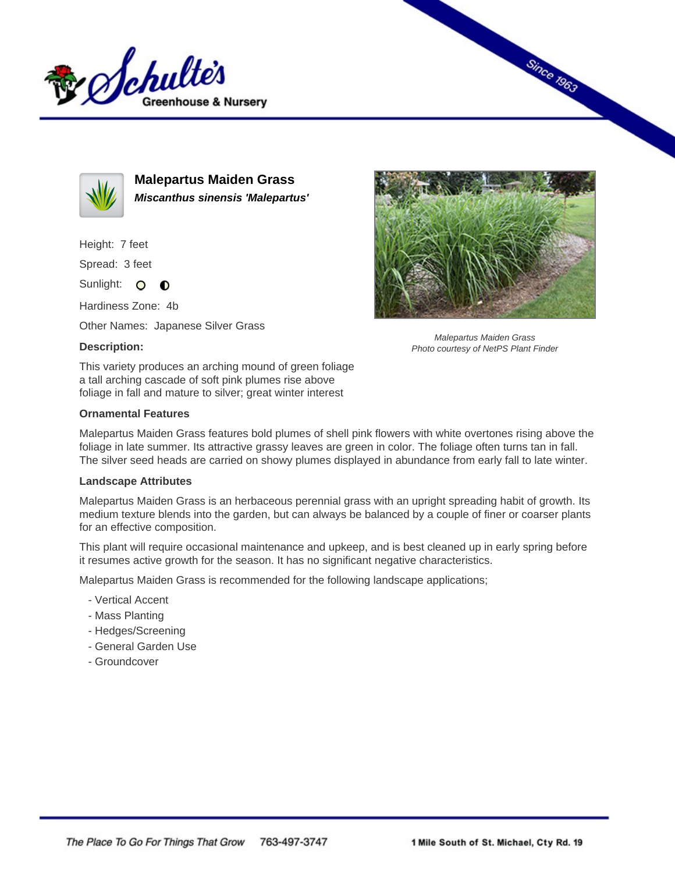



**Malepartus Maiden Grass Miscanthus sinensis 'Malepartus'**

Height: 7 feet

Spread: 3 feet

Sunlight: O **O** 

Hardiness Zone: 4b

Other Names: Japanese Silver Grass

## **Description:**



Since 1963

Malepartus Maiden Grass Photo courtesy of NetPS Plant Finder

This variety produces an arching mound of green foliage a tall arching cascade of soft pink plumes rise above foliage in fall and mature to silver; great winter interest

## **Ornamental Features**

Malepartus Maiden Grass features bold plumes of shell pink flowers with white overtones rising above the foliage in late summer. Its attractive grassy leaves are green in color. The foliage often turns tan in fall. The silver seed heads are carried on showy plumes displayed in abundance from early fall to late winter.

## **Landscape Attributes**

Malepartus Maiden Grass is an herbaceous perennial grass with an upright spreading habit of growth. Its medium texture blends into the garden, but can always be balanced by a couple of finer or coarser plants for an effective composition.

This plant will require occasional maintenance and upkeep, and is best cleaned up in early spring before it resumes active growth for the season. It has no significant negative characteristics.

Malepartus Maiden Grass is recommended for the following landscape applications;

- Vertical Accent
- Mass Planting
- Hedges/Screening
- General Garden Use
- Groundcover